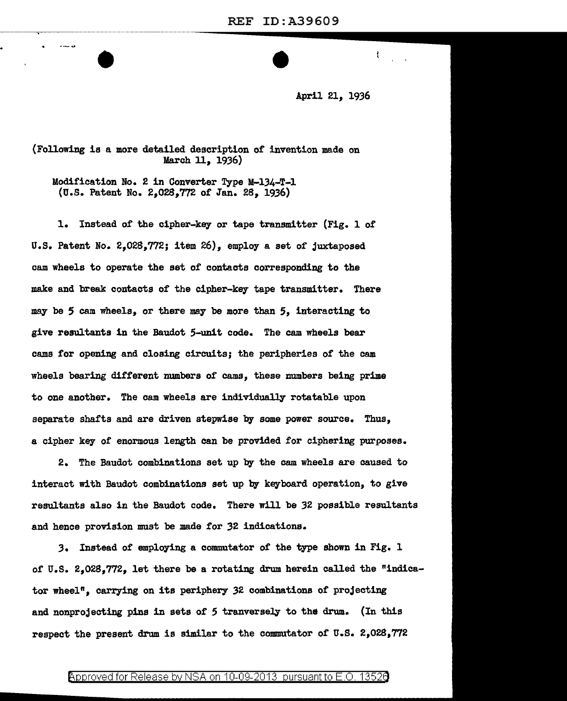$\bullet$ April 21, 1936

(Following is a more detailed description of invention made on March 11, 1936)

Modification No. 2 in Converter Type M-134-T-1 (u.s. Patent No. 2,028,772 of Jan. 28, 1936)

1. Instead of the cipher-key or tape transmitter (Fig. 1 of U.S. Patent No. 2,028,772; item  $26$ , employ a set of juxtaposed cam wheels to operate the set of contacts corresponding to the make and break contacts of the cipher-key tape transmitter. There may be *5* cam wheels, or there may be more than *5,* interacting to give resultants in the Baudot 5-unit code. The cam wheels bear cams for opening and closing circuits; the peripheries of the cam wheels bearing different numbers of cams, these numbers being prime to one another. The cam wheels are individually rotatable upon separate shafts and are driven stepwise by some power source. Thus, a cipher key of enormous length can be provided for ciphering purposes.

2. The Baudot combinations set up by the cam wheels are caused to interact with Baudot combinations set up by keyboard operation, to give resultants also in the Baudot code. There will be 32 possible resultants and hence provision must be made for 32 indications.

*3.* Instead of empla,ying a commutator of the type shown in Fig. 1 of u.s. 2,028,772, let there be a rotating drum herein called the "indicator wheel", carrying on its periphery 32 combinations of projecting and nonprojecting pins in sets of 5 tranversely to the drum. (In this respect the present drum is similar to the commutator of U.S. 2,028,772

## Approved for Release by NSA on 10-09-2013  $\,$  pursuant to E.O. 13526  $\,$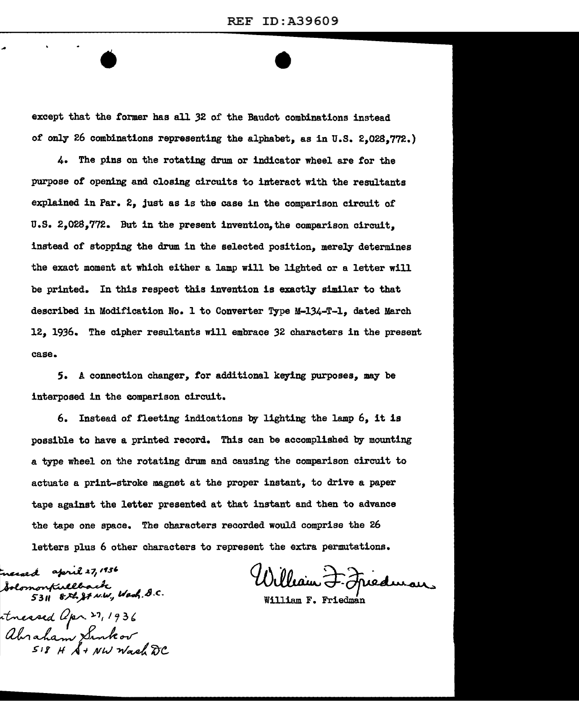except that the former has all 32 of the Baudot combinations instead or only 26 combinations representing the alphabet, as in u.s. 2,028,772.)

 $\bullet$ 

4. The pins on the rotating drum or indicator wheel are tor the purpose *ot* opening and closing circuits to interact with the resultants explained in Par. 2, just as is the case in the comparison circuit of u.s. 2,028,772. But in the present invention,the comparison circuit, instead of stopping the drum in the selected position, merely determines the exact moment at which either a lamp will be lighted or a letter will be printed. In this respect this invention is exactly similar to that described in Modification No. 1 to Converter Type M-134-T-1, dated March 12, 1936. The cipher resultants will embrace 32 characters in the present case.

5. A connection changer, for additional keying purposes, may be interposed in the comparison circuit.

6. Instead of fleeting indications by lighting the lamp 6, it is possible to have a printed record. This can be accomplished by mounting a type wheel on the rotating drum and causing the comparison circuit to actuate a print-stroke magnet at the proper instant, to drive a paper tape against the letter presented at that instant and then to advance the tape one space. The characters recorded would comprise the 26 letters plus 6 other characters to represent the extra permutations.

april 27, 1936 Solomonfullback nonfullback<br>5311 822 Jt N.W., Wash. D.C. tnessed apr. 27, 1936 abraham Sinkov<br>518 H S+ NW Wash DC

in J. Friedman

William F. Friedman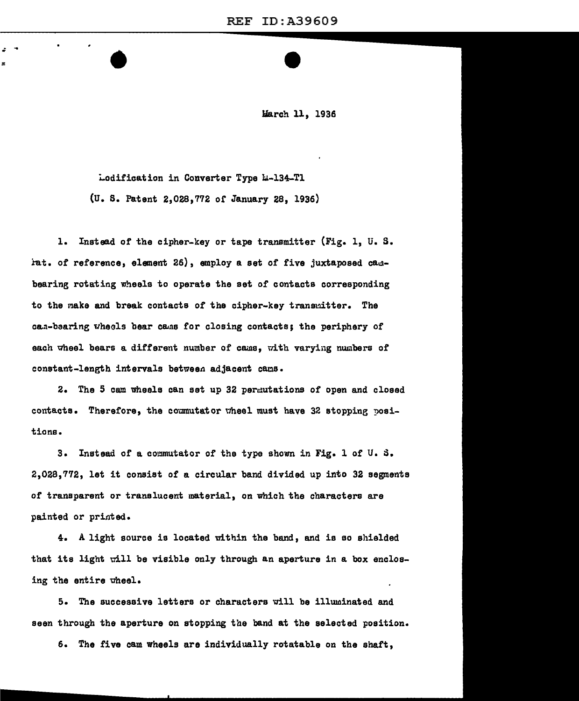Warch 11, 1936

Lodification in Converter Type L-134-Tl (U. S. Patent 2,028,772 of January 28, 1936)

•

=

1. Instead of the cipher-key or tape transmitter (Fig. 1, U.S. rat. of reference, element 26), employ a set of five juxtaposed cadbearing rotating wheels to operate the set of contacts corresponding to the make and break contacts of the cipher-key transmitter. The ca.a-baaring wheels bear ca.as for closing contacts; the periphery of each wheel bears a different number of cams, with varying numbers of constant-length intervals between adjacent cams.

2. The 5 cam wheels can set up 32 permutations of open and closed contacts. Therefore, the commutator wheel must have 32 stopping positions.

3. Instead of a commutator of the type shown in Fig. 1 of  $U$ . S. 2,028,772, let it consist of a circular band divided up into 32 segments or transparent or translucent material, on which the characters are painted or printed.

4. A light source is located mthin the band, and is so shielded that its light will be visible only through an aperture in a box enclosing the entire uheel.

5. The successive letters or characters will be illuminated and seen through the aperture on stopping the band at the selected position.

6. The five cam wheels are individually rotatable on the shaft,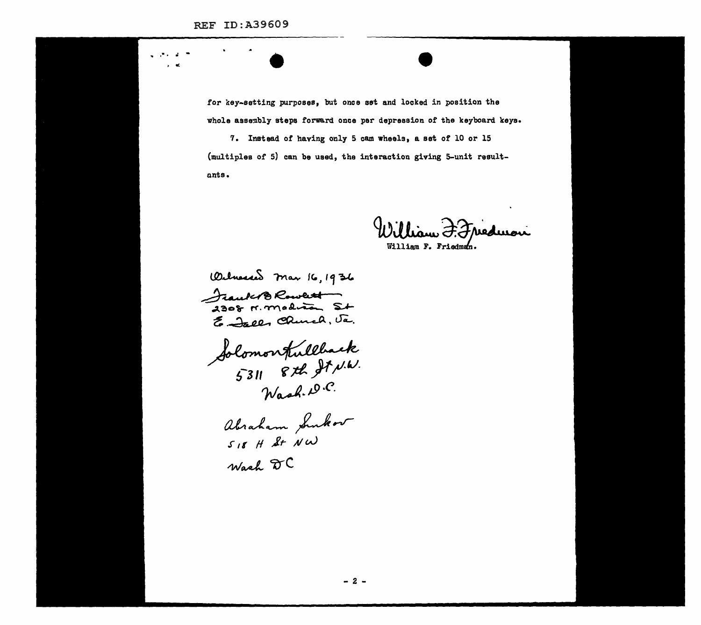for key-setting purposes, but once set and locked in position the whole assembly steps forward once per depression of the keyboard keys.

7. Instead of having only 5 cam wheels, a set of 10 or 15 (multiples of 5) can be used, the interaction giving 5-unit resultants.

William F. Friedmon William F. Friedman

Wilmessed Mar 16, 1936 Frank B Rowlest E. Jall Church, Ja.

Solomonfullback<br>5311 8th St N.W. Wash. D.C.

abraham Sunkov  $518$  H St NW Wash DC